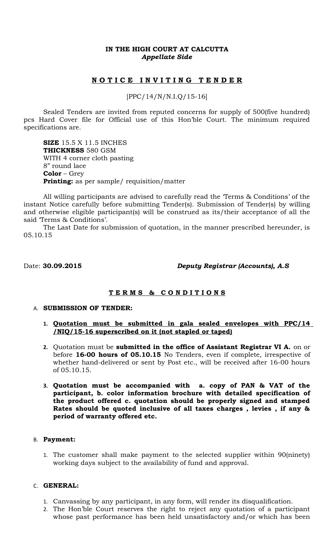### **IN THE HIGH COURT AT CALCUTTA** *Appellate Side*

# **N O T I C E I N V I T I N G T E N D E R**

[PPC/14/N/N.I.Q/15-16]

Sealed Tenders are invited from reputed concerns for supply of 500(five hundred) pcs Hard Cover file for Official use of this Hon'ble Court. The minimum required specifications are.

**SIZE** 15.5 X 11.5 INCHES **THICKNESS** 580 GSM WITH 4 corner cloth pasting 8" round lace **Color** – Grey **Printing:** as per sample/ requisition/matter

All willing participants are advised to carefully read the 'Terms & Conditions' of the instant Notice carefully before submitting Tender(s). Submission of Tender(s) by willing and otherwise eligible participant(s) will be construed as its/their acceptance of all the said 'Terms & Conditions'.

The Last Date for submission of quotation, in the manner prescribed hereunder, is 05.10.15

Date: **30.09.2015** *Deputy Registrar (Accounts), A.S*

## **T E R M S & C O N D I T I O N S**

#### A. **SUBMISSION OF TENDER:**

- **1. Quotation must be submitted in gala sealed envelopes with PPC/14 /NIQ/15-16 superscribed on it (not stapled or taped)**
- **2.** Quotation must be **submitted in the office of Assistant Registrar VI A.** on or before **16-00 hours of 05.10.15** No Tenders, even if complete, irrespective of whether hand-delivered or sent by Post etc., will be received after 16-00 hours of 05.10.15.
- **3. Quotation must be accompanied with a. copy of PAN & VAT of the participant, b. color information brochure with detailed specification of the product offered c. quotation should be properly signed and stamped Rates should be quoted inclusive of all taxes charges , levies , if any & period of warranty offered etc.**

#### B. **Payment:**

1. The customer shall make payment to the selected supplier within 90(ninety) working days subject to the availability of fund and approval.

#### C. **GENERAL:**

- 1. Canvassing by any participant, in any form, will render its disqualification.
- 2. The Hon'ble Court reserves the right to reject any quotation of a participant whose past performance has been held unsatisfactory and/or which has been